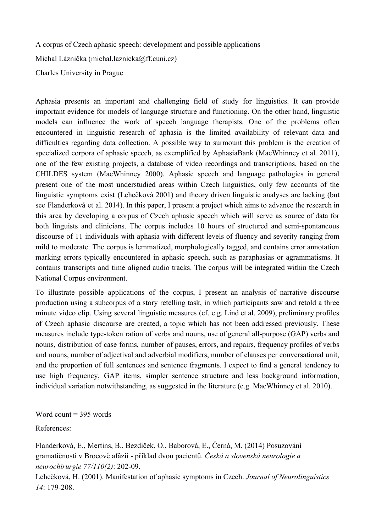A corpus of Czech aphasic speech: development and possible applications

Michal Láznička (michal.laznicka@ff.cuni.cz)

Charles University in Prague

Aphasia presents an important and challenging field of study for linguistics. It can provide important evidence for models of language structure and functioning. On the other hand, linguistic models can influence the work of speech language therapists. One of the problems often encountered in linguistic research of aphasia is the limited availability of relevant data and difficulties regarding data collection. A possible way to surmount this problem is the creation of specialized corpora of aphasic speech, as exemplified by AphasiaBank (MacWhinney et al. 2011), one of the few existing projects, a database of video recordings and transcriptions, based on the CHILDES system (MacWhinney 2000). Aphasic speech and language pathologies in general present one of the most understudied areas within Czech linguistics, only few accounts of the linguistic symptoms exist (Lehečková 2001) and theory driven linguistic analyses are lacking (but see Flanderková et al. 2014). In this paper, I present a project which aims to advance the research in this area by developing a corpus of Czech aphasic speech which will serve as source of data for both linguists and clinicians. The corpus includes 10 hours of structured and semi-spontaneous discourse of 11 individuals with aphasia with different levels of fluency and severity ranging from mild to moderate. The corpus is lemmatized, morphologically tagged, and contains error annotation marking errors typically encountered in aphasic speech, such as paraphasias or agrammatisms. It contains transcripts and time aligned audio tracks. The corpus will be integrated within the Czech National Corpus environment.

To illustrate possible applications of the corpus, I present an analysis of narrative discourse production using a subcorpus of a story retelling task, in which participants saw and retold a three minute video clip. Using several linguistic measures (cf. e.g. Lind et al. 2009), preliminary profiles of Czech aphasic discourse are created, a topic which has not been addressed previously. These measures include type-token ration of verbs and nouns, use of general all-purpose (GAP) verbs and nouns, distribution of case forms, number of pauses, errors, and repairs, frequency profiles of verbs and nouns, number of adjectival and adverbial modifiers, number of clauses per conversational unit, and the proportion of full sentences and sentence fragments. I expect to find a general tendency to use high frequency, GAP items, simpler sentence structure and less background information, individual variation notwithstanding, as suggested in the literature (e.g. MacWhinney et al. 2010).

Word count  $=$  395 words

References:

Flanderková, E., Mertins, B., Bezdíček, O., Baborová, E., Černá, M. (2014) Posuzování gramatičnosti v Brocově afázii příklad dvou pacientů. *Česká a slovenská neurologie a neurochirurgie 77/110(2)*: 202-09.

Lehečková, H. (2001). Manifestation of aphasic symptoms in Czech. *Journal of Neurolinguistics 14*: 179-208.